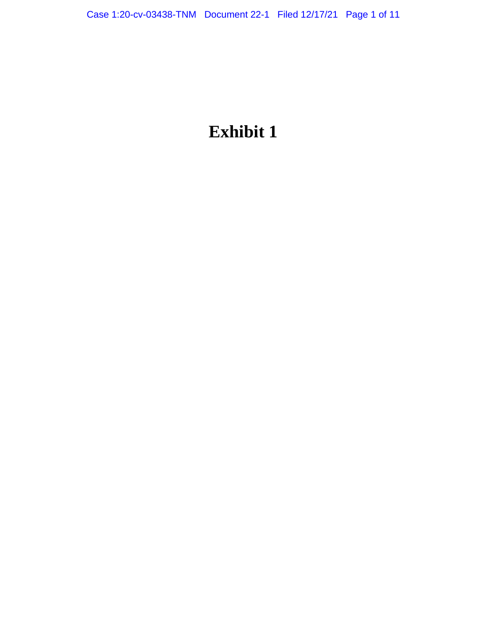# **Exhibit 1**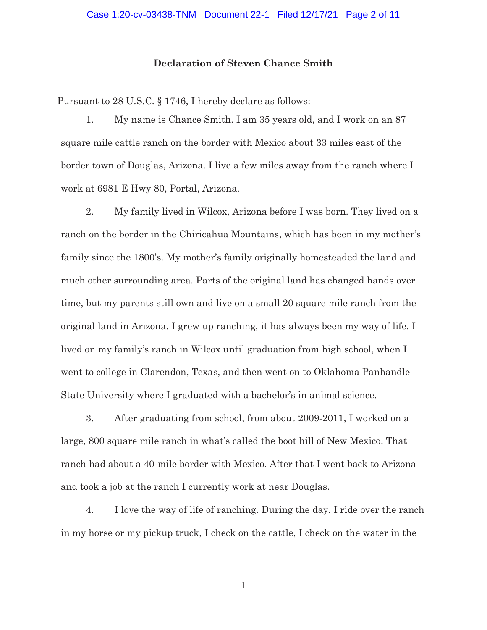## **Declaration of Steven Chance Smith**

Pursuant to 28 U.S.C. § 1746, I hereby declare as follows:

1. My name is Chance Smith. I am 35 years old, and I work on an 87 square mile cattle ranch on the border with Mexico about 33 miles east of the border town of Douglas, Arizona. I live a few miles away from the ranch where I work at 6981 E Hwy 80, Portal, Arizona.

2. My family lived in Wilcox, Arizona before I was born. They lived on a ranch on the border in the Chiricahua Mountains, which has been in my mother's family since the 1800's. My mother's family originally homesteaded the land and much other surrounding area. Parts of the original land has changed hands over time, but my parents still own and live on a small 20 square mile ranch from the original land in Arizona. I grew up ranching, it has always been my way of life. I lived on my family's ranch in Wilcox until graduation from high school, when I went to college in Clarendon, Texas, and then went on to Oklahoma Panhandle State University where I graduated with a bachelor's in animal science.

3. After graduating from school, from about 2009-2011, I worked on a large, 800 square mile ranch in what's called the boot hill of New Mexico. That ranch had about a 40-mile border with Mexico. After that I went back to Arizona and took a job at the ranch I currently work at near Douglas.

4. I love the way of life of ranching. During the day, I ride over the ranch in my horse or my pickup truck, I check on the cattle, I check on the water in the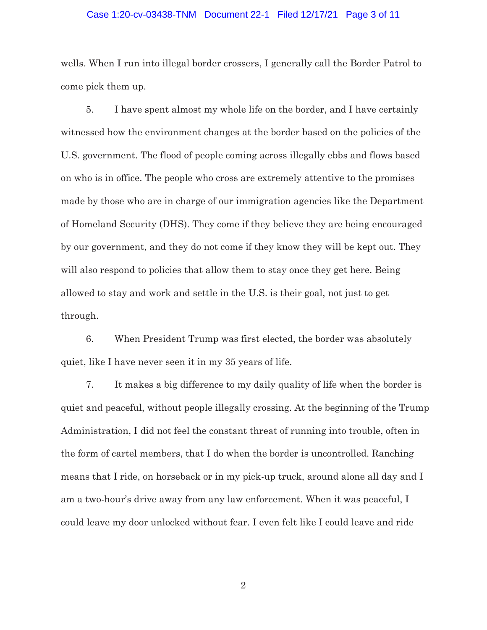#### Case 1:20-cv-03438-TNM Document 22-1 Filed 12/17/21 Page 3 of 11

wells. When I run into illegal border crossers, I generally call the Border Patrol to come pick them up.

5. I have spent almost my whole life on the border, and I have certainly witnessed how the environment changes at the border based on the policies of the U.S. government. The flood of people coming across illegally ebbs and flows based on who is in office. The people who cross are extremely attentive to the promises made by those who are in charge of our immigration agencies like the Department of Homeland Security (DHS). They come if they believe they are being encouraged by our government, and they do not come if they know they will be kept out. They will also respond to policies that allow them to stay once they get here. Being allowed to stay and work and settle in the U.S. is their goal, not just to get through.

6. When President Trump was first elected, the border was absolutely quiet, like I have never seen it in my 35 years of life.

7. It makes a big difference to my daily quality of life when the border is quiet and peaceful, without people illegally crossing. At the beginning of the Trump Administration, I did not feel the constant threat of running into trouble, often in the form of cartel members, that I do when the border is uncontrolled. Ranching means that I ride, on horseback or in my pick-up truck, around alone all day and I am a two-hour's drive away from any law enforcement. When it was peaceful, I could leave my door unlocked without fear. I even felt like I could leave and ride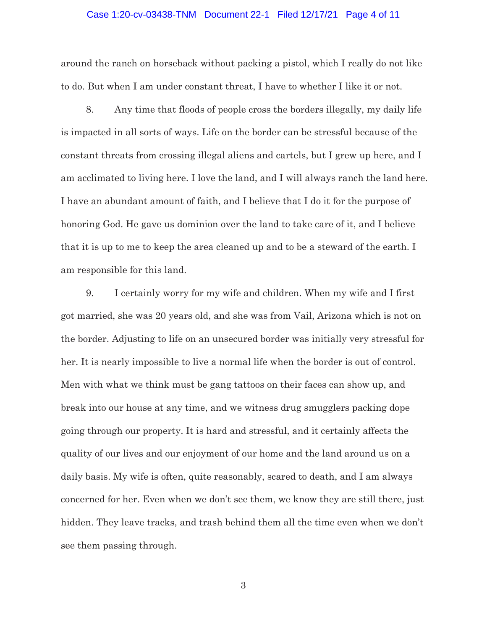#### Case 1:20-cv-03438-TNM Document 22-1 Filed 12/17/21 Page 4 of 11

around the ranch on horseback without packing a pistol, which I really do not like to do. But when I am under constant threat, I have to whether I like it or not.

8. Any time that floods of people cross the borders illegally, my daily life is impacted in all sorts of ways. Life on the border can be stressful because of the constant threats from crossing illegal aliens and cartels, but I grew up here, and I am acclimated to living here. I love the land, and I will always ranch the land here. I have an abundant amount of faith, and I believe that I do it for the purpose of honoring God. He gave us dominion over the land to take care of it, and I believe that it is up to me to keep the area cleaned up and to be a steward of the earth. I am responsible for this land.

9. I certainly worry for my wife and children. When my wife and I first got married, she was 20 years old, and she was from Vail, Arizona which is not on the border. Adjusting to life on an unsecured border was initially very stressful for her. It is nearly impossible to live a normal life when the border is out of control. Men with what we think must be gang tattoos on their faces can show up, and break into our house at any time, and we witness drug smugglers packing dope going through our property. It is hard and stressful, and it certainly affects the quality of our lives and our enjoyment of our home and the land around us on a daily basis. My wife is often, quite reasonably, scared to death, and I am always concerned for her. Even when we don't see them, we know they are still there, just hidden. They leave tracks, and trash behind them all the time even when we don't see them passing through.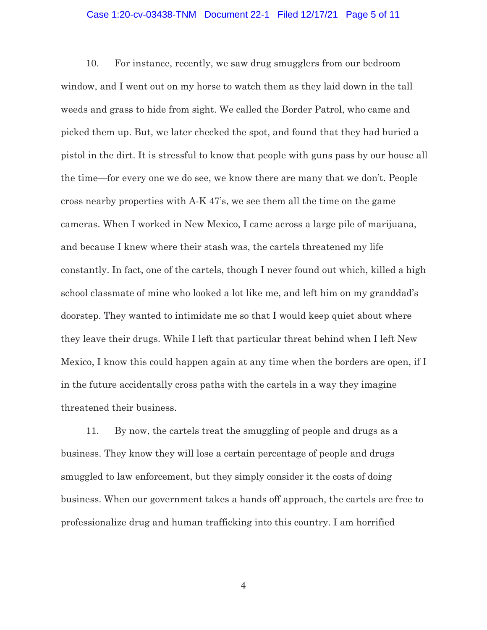## Case 1:20-cv-03438-TNM Document 22-1 Filed 12/17/21 Page 5 of 11

10. For instance, recently, we saw drug smugglers from our bedroom window, and I went out on my horse to watch them as they laid down in the tall weeds and grass to hide from sight. We called the Border Patrol, who came and picked them up. But, we later checked the spot, and found that they had buried a pistol in the dirt. It is stressful to know that people with guns pass by our house all the time—for every one we do see, we know there are many that we don't. People cross nearby properties with A-K 47's, we see them all the time on the game cameras. When I worked in New Mexico, I came across a large pile of marijuana, and because I knew where their stash was, the cartels threatened my life constantly. In fact, one of the cartels, though I never found out which, killed a high school classmate of mine who looked a lot like me, and left him on my granddad's doorstep. They wanted to intimidate me so that I would keep quiet about where they leave their drugs. While I left that particular threat behind when I left New Mexico, I know this could happen again at any time when the borders are open, if I in the future accidentally cross paths with the cartels in a way they imagine threatened their business.

11. By now, the cartels treat the smuggling of people and drugs as a business. They know they will lose a certain percentage of people and drugs smuggled to law enforcement, but they simply consider it the costs of doing business. When our government takes a hands off approach, the cartels are free to professionalize drug and human trafficking into this country. I am horrified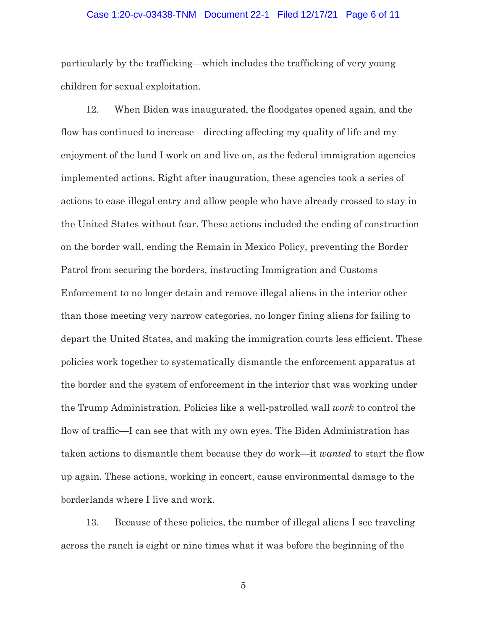#### Case 1:20-cv-03438-TNM Document 22-1 Filed 12/17/21 Page 6 of 11

particularly by the trafficking—which includes the trafficking of very young children for sexual exploitation.

12. When Biden was inaugurated, the floodgates opened again, and the flow has continued to increase—directing affecting my quality of life and my enjoyment of the land I work on and live on, as the federal immigration agencies implemented actions. Right after inauguration, these agencies took a series of actions to ease illegal entry and allow people who have already crossed to stay in the United States without fear. These actions included the ending of construction on the border wall, ending the Remain in Mexico Policy, preventing the Border Patrol from securing the borders, instructing Immigration and Customs Enforcement to no longer detain and remove illegal aliens in the interior other than those meeting very narrow categories, no longer fining aliens for failing to depart the United States, and making the immigration courts less efficient. These policies work together to systematically dismantle the enforcement apparatus at the border and the system of enforcement in the interior that was working under the Trump Administration. Policies like a well-patrolled wall *work* to control the flow of traffic—I can see that with my own eyes. The Biden Administration has taken actions to dismantle them because they do work—it *wanted* to start the flow up again. These actions, working in concert, cause environmental damage to the borderlands where I live and work.

13. Because of these policies, the number of illegal aliens I see traveling across the ranch is eight or nine times what it was before the beginning of the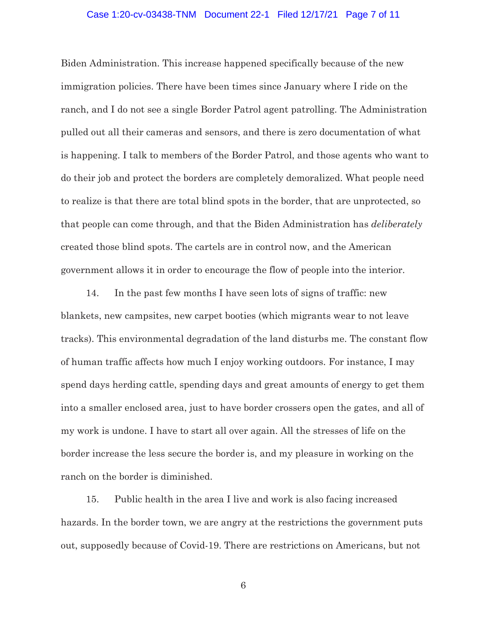#### Case 1:20-cv-03438-TNM Document 22-1 Filed 12/17/21 Page 7 of 11

Biden Administration. This increase happened specifically because of the new immigration policies. There have been times since January where I ride on the ranch, and I do not see a single Border Patrol agent patrolling. The Administration pulled out all their cameras and sensors, and there is zero documentation of what is happening. I talk to members of the Border Patrol, and those agents who want to do their job and protect the borders are completely demoralized. What people need to realize is that there are total blind spots in the border, that are unprotected, so that people can come through, and that the Biden Administration has *deliberately*  created those blind spots. The cartels are in control now, and the American government allows it in order to encourage the flow of people into the interior.

14. In the past few months I have seen lots of signs of traffic: new blankets, new campsites, new carpet booties (which migrants wear to not leave tracks). This environmental degradation of the land disturbs me. The constant flow of human traffic affects how much I enjoy working outdoors. For instance, I may spend days herding cattle, spending days and great amounts of energy to get them into a smaller enclosed area, just to have border crossers open the gates, and all of my work is undone. I have to start all over again. All the stresses of life on the border increase the less secure the border is, and my pleasure in working on the ranch on the border is diminished.

15. Public health in the area I live and work is also facing increased hazards. In the border town, we are angry at the restrictions the government puts out, supposedly because of Covid-19. There are restrictions on Americans, but not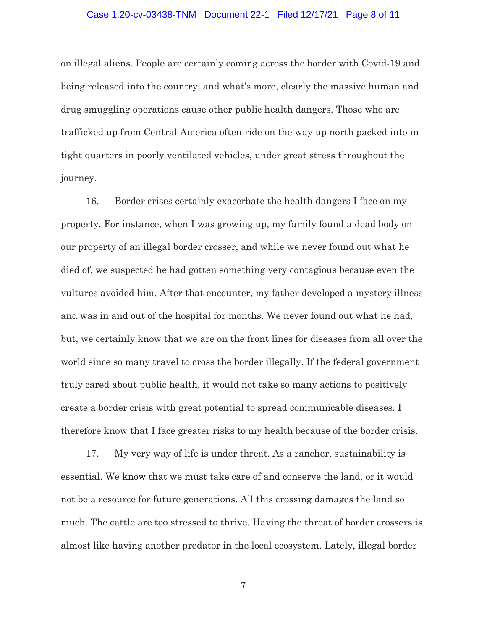## Case 1:20-cv-03438-TNM Document 22-1 Filed 12/17/21 Page 8 of 11

on illegal aliens. People are certainly coming across the border with Covid-19 and being released into the country, and what's more, clearly the massive human and drug smuggling operations cause other public health dangers. Those who are trafficked up from Central America often ride on the way up north packed into in tight quarters in poorly ventilated vehicles, under great stress throughout the journey.

16. Border crises certainly exacerbate the health dangers I face on my property. For instance, when I was growing up, my family found a dead body on our property of an illegal border crosser, and while we never found out what he died of, we suspected he had gotten something very contagious because even the vultures avoided him. After that encounter, my father developed a mystery illness and was in and out of the hospital for months. We never found out what he had, but, we certainly know that we are on the front lines for diseases from all over the world since so many travel to cross the border illegally. If the federal government truly cared about public health, it would not take so many actions to positively create a border crisis with great potential to spread communicable diseases. I therefore know that I face greater risks to my health because of the border crisis.

17. My very way of life is under threat. As a rancher, sustainability is essential. We know that we must take care of and conserve the land, or it would not be a resource for future generations. All this crossing damages the land so much. The cattle are too stressed to thrive. Having the threat of border crossers is almost like having another predator in the local ecosystem. Lately, illegal border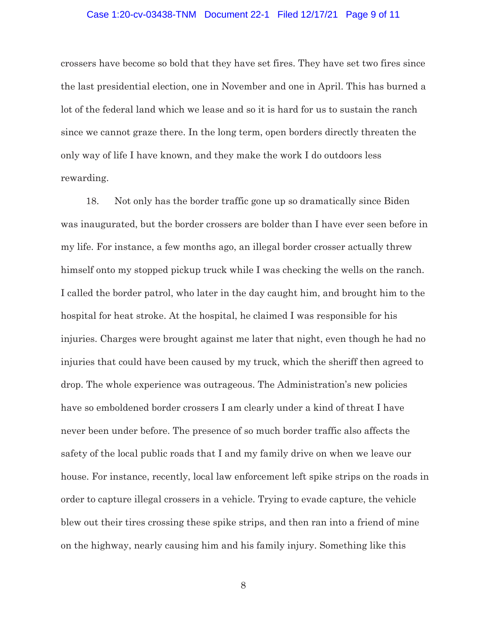#### Case 1:20-cv-03438-TNM Document 22-1 Filed 12/17/21 Page 9 of 11

crossers have become so bold that they have set fires. They have set two fires since the last presidential election, one in November and one in April. This has burned a lot of the federal land which we lease and so it is hard for us to sustain the ranch since we cannot graze there. In the long term, open borders directly threaten the only way of life I have known, and they make the work I do outdoors less rewarding.

18. Not only has the border traffic gone up so dramatically since Biden was inaugurated, but the border crossers are bolder than I have ever seen before in my life. For instance, a few months ago, an illegal border crosser actually threw himself onto my stopped pickup truck while I was checking the wells on the ranch. I called the border patrol, who later in the day caught him, and brought him to the hospital for heat stroke. At the hospital, he claimed I was responsible for his injuries. Charges were brought against me later that night, even though he had no injuries that could have been caused by my truck, which the sheriff then agreed to drop. The whole experience was outrageous. The Administration's new policies have so emboldened border crossers I am clearly under a kind of threat I have never been under before. The presence of so much border traffic also affects the safety of the local public roads that I and my family drive on when we leave our house. For instance, recently, local law enforcement left spike strips on the roads in order to capture illegal crossers in a vehicle. Trying to evade capture, the vehicle blew out their tires crossing these spike strips, and then ran into a friend of mine on the highway, nearly causing him and his family injury. Something like this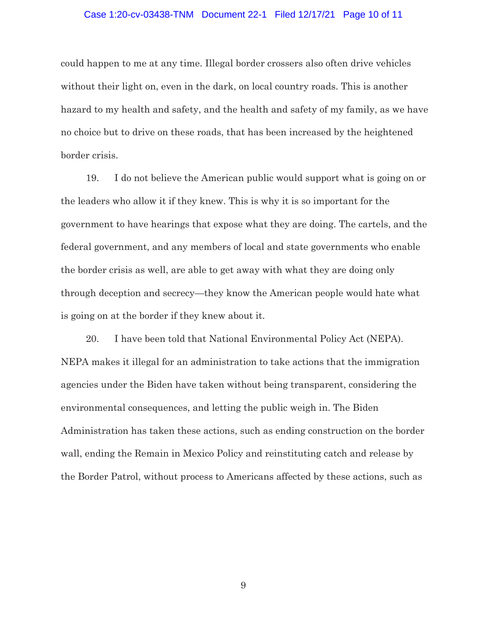#### Case 1:20-cv-03438-TNM Document 22-1 Filed 12/17/21 Page 10 of 11

could happen to me at any time. Illegal border crossers also often drive vehicles without their light on, even in the dark, on local country roads. This is another hazard to my health and safety, and the health and safety of my family, as we have no choice but to drive on these roads, that has been increased by the heightened border crisis.

19. I do not believe the American public would support what is going on or the leaders who allow it if they knew. This is why it is so important for the government to have hearings that expose what they are doing. The cartels, and the federal government, and any members of local and state governments who enable the border crisis as well, are able to get away with what they are doing only through deception and secrecy—they know the American people would hate what is going on at the border if they knew about it.

20. I have been told that National Environmental Policy Act (NEPA). NEPA makes it illegal for an administration to take actions that the immigration agencies under the Biden have taken without being transparent, considering the environmental consequences, and letting the public weigh in. The Biden Administration has taken these actions, such as ending construction on the border wall, ending the Remain in Mexico Policy and reinstituting catch and release by the Border Patrol, without process to Americans affected by these actions, such as